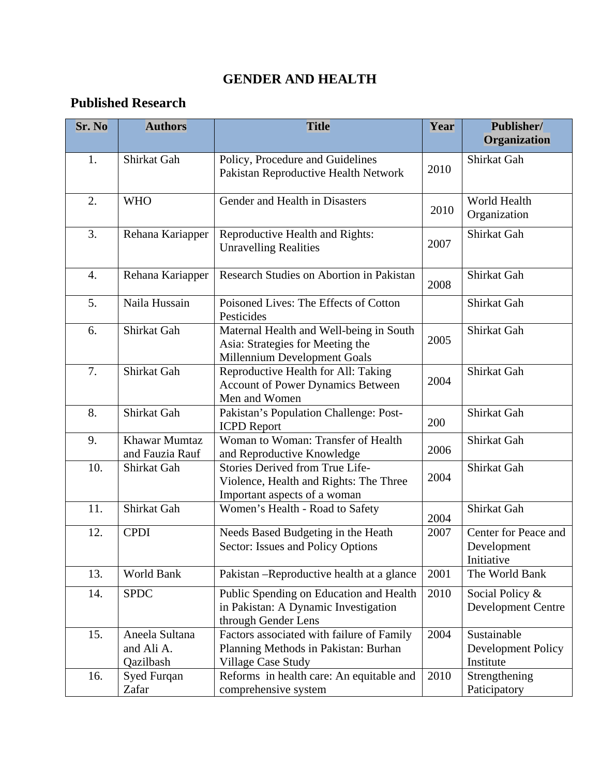## **GENDER AND HEALTH**

## **Published Research**

| <b>Sr. No</b>    | <b>Authors</b>                            | <b>Title</b>                                                                                                       | Year | Publisher/<br>Organization                        |
|------------------|-------------------------------------------|--------------------------------------------------------------------------------------------------------------------|------|---------------------------------------------------|
| 1.               | Shirkat Gah                               | Policy, Procedure and Guidelines<br>Pakistan Reproductive Health Network                                           | 2010 | Shirkat Gah                                       |
| 2.               | <b>WHO</b>                                | Gender and Health in Disasters                                                                                     | 2010 | World Health<br>Organization                      |
| 3.               | Rehana Kariapper                          | Reproductive Health and Rights:<br><b>Unravelling Realities</b>                                                    | 2007 | Shirkat Gah                                       |
| $\overline{4}$ . | Rehana Kariapper                          | Research Studies on Abortion in Pakistan                                                                           | 2008 | Shirkat Gah                                       |
| 5.               | Naila Hussain                             | Poisoned Lives: The Effects of Cotton<br>Pesticides                                                                |      | Shirkat Gah                                       |
| 6.               | Shirkat Gah                               | Maternal Health and Well-being in South<br>Asia: Strategies for Meeting the<br><b>Millennium Development Goals</b> | 2005 | Shirkat Gah                                       |
| 7.               | Shirkat Gah                               | Reproductive Health for All: Taking<br><b>Account of Power Dynamics Between</b><br>Men and Women                   | 2004 | Shirkat Gah                                       |
| 8.               | Shirkat Gah                               | Pakistan's Population Challenge: Post-<br><b>ICPD</b> Report                                                       | 200  | Shirkat Gah                                       |
| 9.               | Khawar Mumtaz<br>and Fauzia Rauf          | Woman to Woman: Transfer of Health<br>and Reproductive Knowledge                                                   | 2006 | Shirkat Gah                                       |
| 10.              | Shirkat Gah                               | Stories Derived from True Life-<br>Violence, Health and Rights: The Three<br>Important aspects of a woman          | 2004 | Shirkat Gah                                       |
| 11.              | Shirkat Gah                               | Women's Health - Road to Safety                                                                                    | 2004 | Shirkat Gah                                       |
| 12.              | <b>CPDI</b>                               | Needs Based Budgeting in the Heath<br>Sector: Issues and Policy Options                                            | 2007 | Center for Peace and<br>Development<br>Initiative |
| 13.              | World Bank                                | Pakistan - Reproductive health at a glance                                                                         | 2001 | The World Bank                                    |
| 14.              | <b>SPDC</b>                               | Public Spending on Education and Health<br>in Pakistan: A Dynamic Investigation<br>through Gender Lens             | 2010 | Social Policy &<br><b>Development Centre</b>      |
| 15.              | Aneela Sultana<br>and Ali A.<br>Qazilbash | Factors associated with failure of Family<br>Planning Methods in Pakistan: Burhan<br><b>Village Case Study</b>     | 2004 | Sustainable<br>Development Policy<br>Institute    |
| 16.              | Syed Furqan<br>Zafar                      | Reforms in health care: An equitable and<br>comprehensive system                                                   | 2010 | Strengthening<br>Paticipatory                     |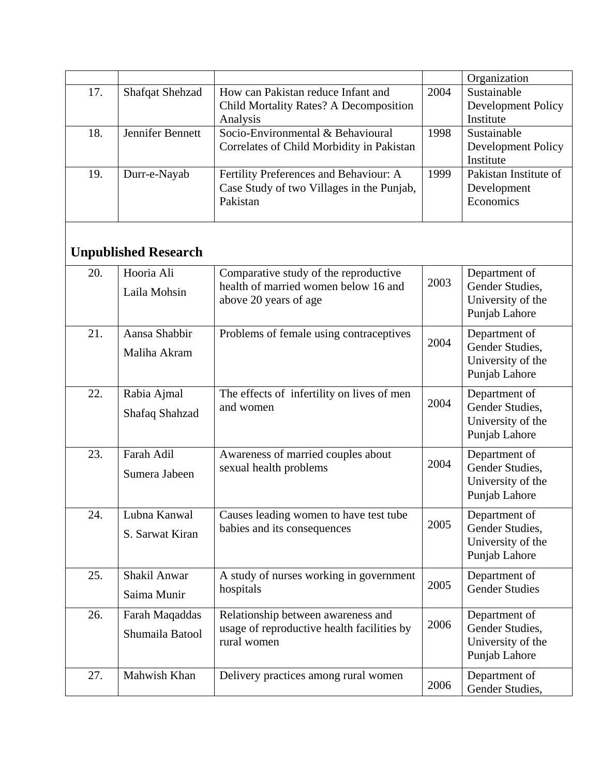|     |                        |                                           |      | Organization          |
|-----|------------------------|-------------------------------------------|------|-----------------------|
| 17. | <b>Shafqat Shehzad</b> | How can Pakistan reduce Infant and        | 2004 | Sustainable           |
|     |                        | Child Mortality Rates? A Decomposition    |      | Development Policy    |
|     |                        | Analysis                                  |      | Institute             |
| 18. | Jennifer Bennett       | Socio-Environmental & Behavioural         | 1998 | Sustainable           |
|     |                        | Correlates of Child Morbidity in Pakistan |      | Development Policy    |
|     |                        |                                           |      | Institute             |
| 19. | Durr-e-Nayab           | Fertility Preferences and Behaviour: A    | 1999 | Pakistan Institute of |
|     |                        | Case Study of two Villages in the Punjab, |      | Development           |
|     |                        | Pakistan                                  |      | Economics             |
|     |                        |                                           |      |                       |
|     |                        |                                           |      |                       |

## **Unpublished Research**

| 20. | Hooria Ali<br>Laila Mohsin        | Comparative study of the reproductive<br>health of married women below 16 and<br>above 20 years of age | 2003 | Department of<br>Gender Studies,<br>University of the<br>Punjab Lahore |
|-----|-----------------------------------|--------------------------------------------------------------------------------------------------------|------|------------------------------------------------------------------------|
| 21. | Aansa Shabbir<br>Maliha Akram     | Problems of female using contraceptives                                                                | 2004 | Department of<br>Gender Studies,<br>University of the<br>Punjab Lahore |
| 22. | Rabia Ajmal<br>Shafaq Shahzad     | The effects of infertility on lives of men<br>and women                                                | 2004 | Department of<br>Gender Studies,<br>University of the<br>Punjab Lahore |
| 23. | Farah Adil<br>Sumera Jabeen       | Awareness of married couples about<br>sexual health problems                                           | 2004 | Department of<br>Gender Studies,<br>University of the<br>Punjab Lahore |
| 24. | Lubna Kanwal<br>S. Sarwat Kiran   | Causes leading women to have test tube<br>babies and its consequences                                  | 2005 | Department of<br>Gender Studies,<br>University of the<br>Punjab Lahore |
| 25. | Shakil Anwar<br>Saima Munir       | A study of nurses working in government<br>hospitals                                                   | 2005 | Department of<br><b>Gender Studies</b>                                 |
| 26. | Farah Maqaddas<br>Shumaila Batool | Relationship between awareness and<br>usage of reproductive health facilities by<br>rural women        | 2006 | Department of<br>Gender Studies,<br>University of the<br>Punjab Lahore |
| 27. | Mahwish Khan                      | Delivery practices among rural women                                                                   | 2006 | Department of<br>Gender Studies,                                       |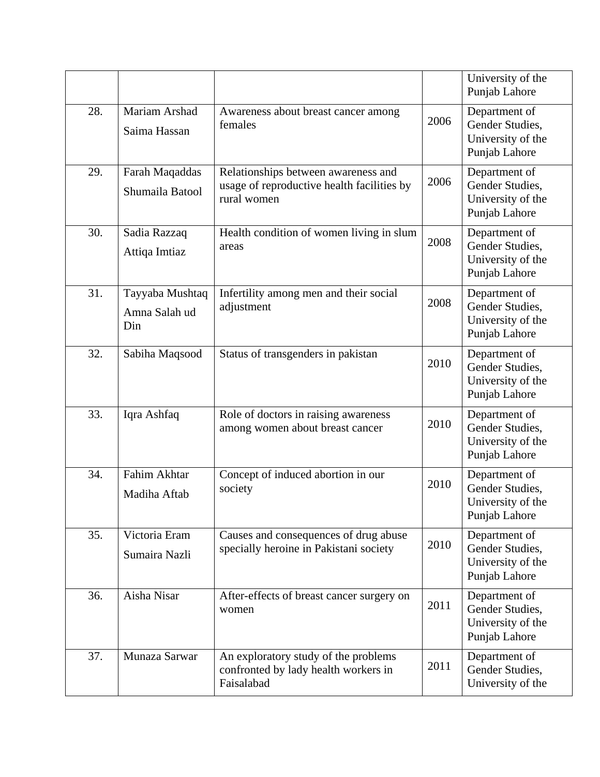|     |                                         |                                                                                                  |      | University of the<br>Punjab Lahore                                     |
|-----|-----------------------------------------|--------------------------------------------------------------------------------------------------|------|------------------------------------------------------------------------|
| 28. | Mariam Arshad<br>Saima Hassan           | Awareness about breast cancer among<br>females                                                   | 2006 | Department of<br>Gender Studies,<br>University of the<br>Punjab Lahore |
| 29. | Farah Maqaddas<br>Shumaila Batool       | Relationships between awareness and<br>usage of reproductive health facilities by<br>rural women | 2006 | Department of<br>Gender Studies,<br>University of the<br>Punjab Lahore |
| 30. | Sadia Razzaq<br>Attiqa Imtiaz           | Health condition of women living in slum<br>areas                                                | 2008 | Department of<br>Gender Studies,<br>University of the<br>Punjab Lahore |
| 31. | Tayyaba Mushtaq<br>Amna Salah ud<br>Din | Infertility among men and their social<br>adjustment                                             | 2008 | Department of<br>Gender Studies,<br>University of the<br>Punjab Lahore |
| 32. | Sabiha Maqsood                          | Status of transgenders in pakistan                                                               | 2010 | Department of<br>Gender Studies,<br>University of the<br>Punjab Lahore |
| 33. | Iqra Ashfaq                             | Role of doctors in raising awareness<br>among women about breast cancer                          | 2010 | Department of<br>Gender Studies,<br>University of the<br>Punjab Lahore |
| 34. | Fahim Akhtar<br>Madiha Aftab            | Concept of induced abortion in our<br>society                                                    | 2010 | Department of<br>Gender Studies,<br>University of the<br>Punjab Lahore |
| 35. | Victoria Eram<br>Sumaira Nazli          | Causes and consequences of drug abuse<br>specially heroine in Pakistani society                  | 2010 | Department of<br>Gender Studies.<br>University of the<br>Punjab Lahore |
| 36. | Aisha Nisar                             | After-effects of breast cancer surgery on<br>women                                               | 2011 | Department of<br>Gender Studies,<br>University of the<br>Punjab Lahore |
| 37. | Munaza Sarwar                           | An exploratory study of the problems<br>confronted by lady health workers in<br>Faisalabad       | 2011 | Department of<br>Gender Studies,<br>University of the                  |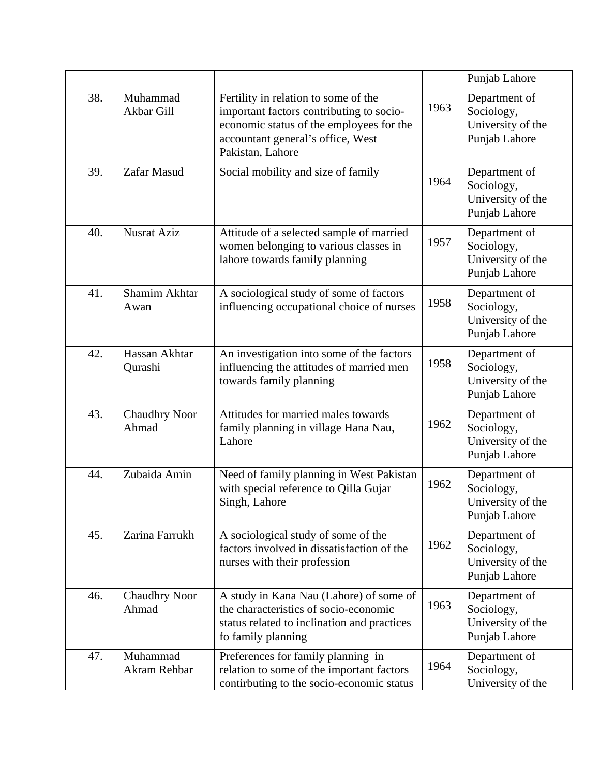|     |                                 |                                                                                                                                                                                       |      | Punjab Lahore                                                     |
|-----|---------------------------------|---------------------------------------------------------------------------------------------------------------------------------------------------------------------------------------|------|-------------------------------------------------------------------|
| 38. | Muhammad<br>Akbar Gill          | Fertility in relation to some of the<br>important factors contributing to socio-<br>economic status of the employees for the<br>accountant general's office, West<br>Pakistan, Lahore | 1963 | Department of<br>Sociology,<br>University of the<br>Punjab Lahore |
| 39. | Zafar Masud                     | Social mobility and size of family                                                                                                                                                    | 1964 | Department of<br>Sociology,<br>University of the<br>Punjab Lahore |
| 40. | <b>Nusrat Aziz</b>              | Attitude of a selected sample of married<br>women belonging to various classes in<br>lahore towards family planning                                                                   | 1957 | Department of<br>Sociology,<br>University of the<br>Punjab Lahore |
| 41. | Shamim Akhtar<br>Awan           | A sociological study of some of factors<br>influencing occupational choice of nurses                                                                                                  | 1958 | Department of<br>Sociology,<br>University of the<br>Punjab Lahore |
| 42. | Hassan Akhtar<br>Qurashi        | An investigation into some of the factors<br>influencing the attitudes of married men<br>towards family planning                                                                      | 1958 | Department of<br>Sociology,<br>University of the<br>Punjab Lahore |
| 43. | <b>Chaudhry Noor</b><br>Ahmad   | Attitudes for married males towards<br>family planning in village Hana Nau,<br>Lahore                                                                                                 | 1962 | Department of<br>Sociology,<br>University of the<br>Punjab Lahore |
| 44. | Zubaida Amin                    | Need of family planning in West Pakistan<br>with special reference to Qilla Gujar<br>Singh, Lahore                                                                                    | 1962 | Department of<br>Sociology,<br>University of the<br>Punjab Lahore |
| 45. | Zarina Farrukh                  | A sociological study of some of the<br>factors involved in dissatisfaction of the<br>nurses with their profession                                                                     | 1962 | Department of<br>Sociology,<br>University of the<br>Punjab Lahore |
| 46. | <b>Chaudhry Noor</b><br>Ahmad   | A study in Kana Nau (Lahore) of some of<br>the characteristics of socio-economic<br>status related to inclination and practices<br>fo family planning                                 | 1963 | Department of<br>Sociology,<br>University of the<br>Punjab Lahore |
| 47. | Muhammad<br><b>Akram Rehbar</b> | Preferences for family planning in<br>relation to some of the important factors<br>contirbuting to the socio-economic status                                                          | 1964 | Department of<br>Sociology,<br>University of the                  |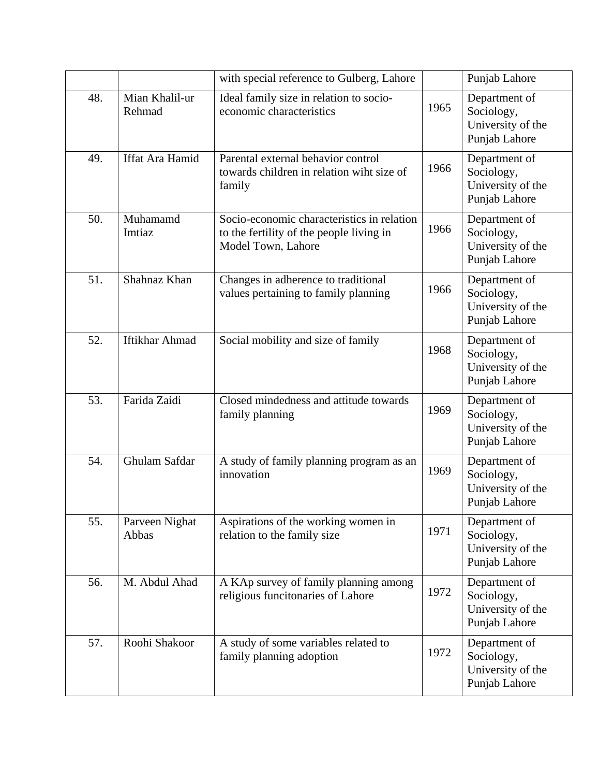|     |                          | with special reference to Gulberg, Lahore                                                                    |      | Punjab Lahore                                                     |
|-----|--------------------------|--------------------------------------------------------------------------------------------------------------|------|-------------------------------------------------------------------|
| 48. | Mian Khalil-ur<br>Rehmad | Ideal family size in relation to socio-<br>economic characteristics                                          | 1965 | Department of<br>Sociology,<br>University of the<br>Punjab Lahore |
| 49. | Iffat Ara Hamid          | Parental external behavior control<br>towards children in relation wiht size of<br>family                    | 1966 | Department of<br>Sociology,<br>University of the<br>Punjab Lahore |
| 50. | Muhamamd<br>Imtiaz       | Socio-economic characteristics in relation<br>to the fertility of the people living in<br>Model Town, Lahore | 1966 | Department of<br>Sociology,<br>University of the<br>Punjab Lahore |
| 51. | Shahnaz Khan             | Changes in adherence to traditional<br>values pertaining to family planning                                  | 1966 | Department of<br>Sociology,<br>University of the<br>Punjab Lahore |
| 52. | <b>Iftikhar Ahmad</b>    | Social mobility and size of family                                                                           | 1968 | Department of<br>Sociology,<br>University of the<br>Punjab Lahore |
| 53. | Farida Zaidi             | Closed mindedness and attitude towards<br>family planning                                                    | 1969 | Department of<br>Sociology,<br>University of the<br>Punjab Lahore |
| 54. | Ghulam Safdar            | A study of family planning program as an<br>innovation                                                       | 1969 | Department of<br>Sociology,<br>University of the<br>Punjab Lahore |
| 55. | Parveen Nighat<br>Abbas  | Aspirations of the working women in<br>relation to the family size                                           | 1971 | Department of<br>Sociology,<br>University of the<br>Punjab Lahore |
| 56. | M. Abdul Ahad            | A KAp survey of family planning among<br>religious funcitonaries of Lahore                                   | 1972 | Department of<br>Sociology,<br>University of the<br>Punjab Lahore |
| 57. | Roohi Shakoor            | A study of some variables related to<br>family planning adoption                                             | 1972 | Department of<br>Sociology,<br>University of the<br>Punjab Lahore |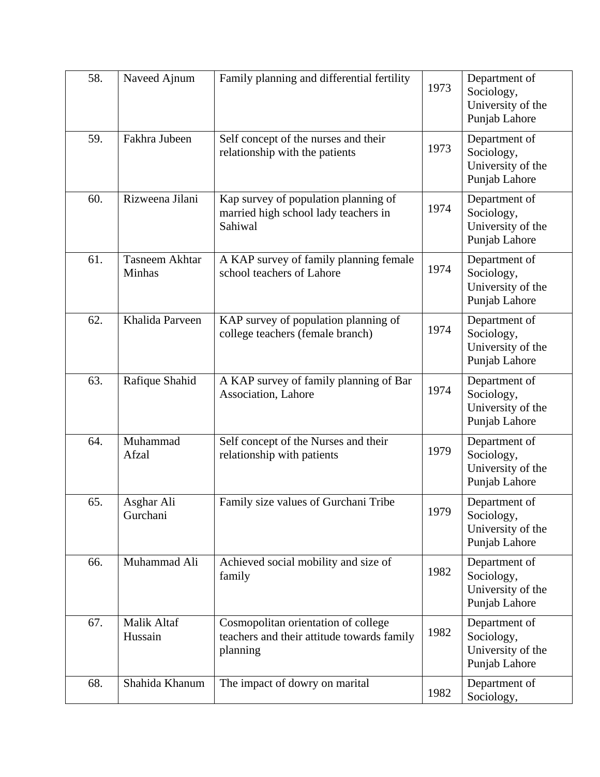| 58. | Naveed Ajnum                    | Family planning and differential fertility                                                    | 1973 | Department of<br>Sociology,<br>University of the<br>Punjab Lahore |
|-----|---------------------------------|-----------------------------------------------------------------------------------------------|------|-------------------------------------------------------------------|
| 59. | Fakhra Jubeen                   | Self concept of the nurses and their<br>relationship with the patients                        | 1973 | Department of<br>Sociology,<br>University of the<br>Punjab Lahore |
| 60. | Rizweena Jilani                 | Kap survey of population planning of<br>married high school lady teachers in<br>Sahiwal       | 1974 | Department of<br>Sociology,<br>University of the<br>Punjab Lahore |
| 61. | <b>Tasneem Akhtar</b><br>Minhas | A KAP survey of family planning female<br>school teachers of Lahore                           | 1974 | Department of<br>Sociology,<br>University of the<br>Punjab Lahore |
| 62. | Khalida Parveen                 | KAP survey of population planning of<br>college teachers (female branch)                      | 1974 | Department of<br>Sociology,<br>University of the<br>Punjab Lahore |
| 63. | Rafique Shahid                  | A KAP survey of family planning of Bar<br><b>Association</b> , Lahore                         | 1974 | Department of<br>Sociology,<br>University of the<br>Punjab Lahore |
| 64. | Muhammad<br>Afzal               | Self concept of the Nurses and their<br>relationship with patients                            | 1979 | Department of<br>Sociology,<br>University of the<br>Punjab Lahore |
| 65. | Asghar Ali<br>Gurchani          | Family size values of Gurchani Tribe                                                          | 1979 | Department of<br>Sociology,<br>University of the<br>Punjab Lahore |
| 66. | Muhammad Ali                    | Achieved social mobility and size of<br>family                                                | 1982 | Department of<br>Sociology,<br>University of the<br>Punjab Lahore |
| 67. | Malik Altaf<br>Hussain          | Cosmopolitan orientation of college<br>teachers and their attitude towards family<br>planning | 1982 | Department of<br>Sociology,<br>University of the<br>Punjab Lahore |
| 68. | Shahida Khanum                  | The impact of dowry on marital                                                                | 1982 | Department of<br>Sociology,                                       |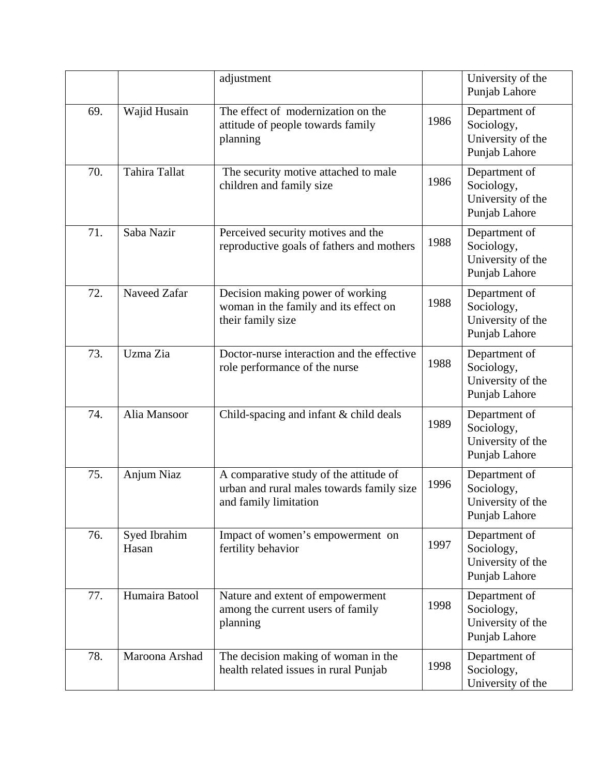|     |                       | adjustment                                                                                                   |      | University of the<br>Punjab Lahore                                |
|-----|-----------------------|--------------------------------------------------------------------------------------------------------------|------|-------------------------------------------------------------------|
| 69. | Wajid Husain          | The effect of modernization on the<br>attitude of people towards family<br>planning                          | 1986 | Department of<br>Sociology,<br>University of the<br>Punjab Lahore |
| 70. | Tahira Tallat         | The security motive attached to male<br>children and family size                                             | 1986 | Department of<br>Sociology,<br>University of the<br>Punjab Lahore |
| 71. | Saba Nazir            | Perceived security motives and the<br>reproductive goals of fathers and mothers                              | 1988 | Department of<br>Sociology,<br>University of the<br>Punjab Lahore |
| 72. | Naveed Zafar          | Decision making power of working<br>woman in the family and its effect on<br>their family size               | 1988 | Department of<br>Sociology,<br>University of the<br>Punjab Lahore |
| 73. | Uzma Zia              | Doctor-nurse interaction and the effective<br>role performance of the nurse                                  | 1988 | Department of<br>Sociology,<br>University of the<br>Punjab Lahore |
| 74. | Alia Mansoor          | Child-spacing and infant & child deals                                                                       | 1989 | Department of<br>Sociology,<br>University of the<br>Punjab Lahore |
| 75. | Anjum Niaz            | A comparative study of the attitude of<br>urban and rural males towards family size<br>and family limitation | 1996 | Department of<br>Sociology,<br>University of the<br>Punjab Lahore |
| 76. | Syed Ibrahim<br>Hasan | Impact of women's empowerment on<br>fertility behavior                                                       | 1997 | Department of<br>Sociology,<br>University of the<br>Punjab Lahore |
| 77. | Humaira Batool        | Nature and extent of empowerment<br>among the current users of family<br>planning                            | 1998 | Department of<br>Sociology,<br>University of the<br>Punjab Lahore |
| 78. | Maroona Arshad        | The decision making of woman in the<br>health related issues in rural Punjab                                 | 1998 | Department of<br>Sociology,<br>University of the                  |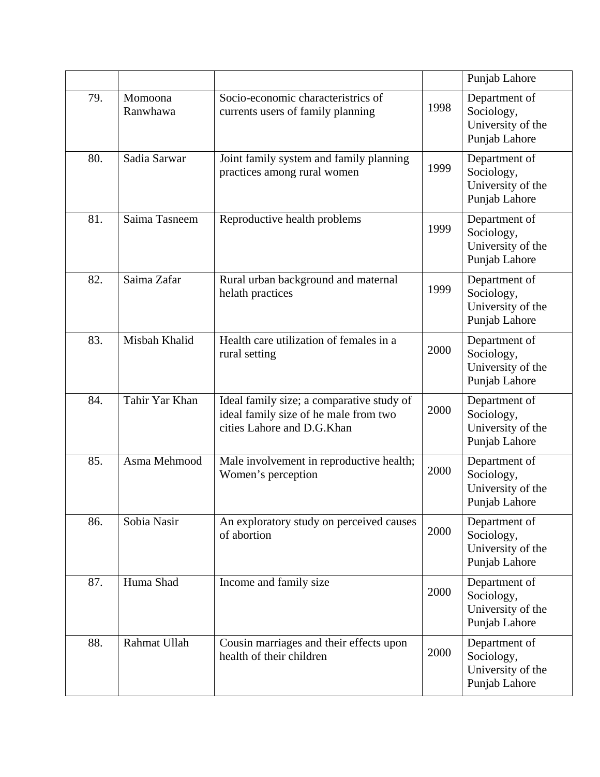|     |                     |                                                                                                                  |      | Punjab Lahore                                                     |
|-----|---------------------|------------------------------------------------------------------------------------------------------------------|------|-------------------------------------------------------------------|
| 79. | Momoona<br>Ranwhawa | Socio-economic characteristrics of<br>currents users of family planning                                          | 1998 | Department of<br>Sociology,<br>University of the<br>Punjab Lahore |
| 80. | Sadia Sarwar        | Joint family system and family planning<br>practices among rural women                                           | 1999 | Department of<br>Sociology,<br>University of the<br>Punjab Lahore |
| 81. | Saima Tasneem       | Reproductive health problems                                                                                     | 1999 | Department of<br>Sociology,<br>University of the<br>Punjab Lahore |
| 82. | Saima Zafar         | Rural urban background and maternal<br>helath practices                                                          | 1999 | Department of<br>Sociology,<br>University of the<br>Punjab Lahore |
| 83. | Misbah Khalid       | Health care utilization of females in a<br>rural setting                                                         | 2000 | Department of<br>Sociology,<br>University of the<br>Punjab Lahore |
| 84. | Tahir Yar Khan      | Ideal family size; a comparative study of<br>ideal family size of he male from two<br>cities Lahore and D.G.Khan | 2000 | Department of<br>Sociology,<br>University of the<br>Punjab Lahore |
| 85. | Asma Mehmood        | Male involvement in reproductive health;<br>Women's perception                                                   | 2000 | Department of<br>Sociology,<br>University of the<br>Punjab Lahore |
| 86. | Sobia Nasir         | An exploratory study on perceived causes<br>of abortion                                                          | 2000 | Department of<br>Sociology,<br>University of the<br>Punjab Lahore |
| 87. | Huma Shad           | Income and family size                                                                                           | 2000 | Department of<br>Sociology,<br>University of the<br>Punjab Lahore |
| 88. | Rahmat Ullah        | Cousin marriages and their effects upon<br>health of their children                                              | 2000 | Department of<br>Sociology,<br>University of the<br>Punjab Lahore |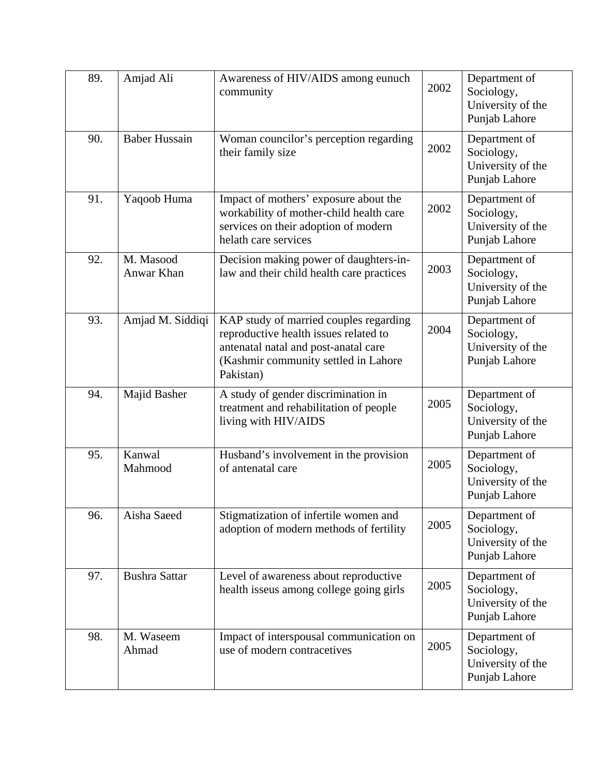| 89. | Amjad Ali               | Awareness of HIV/AIDS among eunuch<br>community                                                                                                                              | 2002 | Department of<br>Sociology,<br>University of the<br>Punjab Lahore |
|-----|-------------------------|------------------------------------------------------------------------------------------------------------------------------------------------------------------------------|------|-------------------------------------------------------------------|
| 90. | <b>Baber Hussain</b>    | Woman councilor's perception regarding<br>their family size                                                                                                                  | 2002 | Department of<br>Sociology,<br>University of the<br>Punjab Lahore |
| 91. | Yaqoob Huma             | Impact of mothers' exposure about the<br>workability of mother-child health care<br>services on their adoption of modern<br>helath care services                             | 2002 | Department of<br>Sociology,<br>University of the<br>Punjab Lahore |
| 92. | M. Masood<br>Anwar Khan | Decision making power of daughters-in-<br>law and their child health care practices                                                                                          | 2003 | Department of<br>Sociology,<br>University of the<br>Punjab Lahore |
| 93. | Amjad M. Siddiqi        | KAP study of married couples regarding<br>reproductive health issues related to<br>antenatal natal and post-anatal care<br>(Kashmir community settled in Lahore<br>Pakistan) | 2004 | Department of<br>Sociology,<br>University of the<br>Punjab Lahore |
| 94. | Majid Basher            | A study of gender discrimination in<br>treatment and rehabilitation of people<br>living with HIV/AIDS                                                                        | 2005 | Department of<br>Sociology,<br>University of the<br>Punjab Lahore |
| 95. | Kanwal<br>Mahmood       | Husband's involvement in the provision<br>of antenatal care                                                                                                                  | 2005 | Department of<br>Sociology,<br>University of the<br>Punjab Lahore |
| 96. | Aisha Saeed             | Stigmatization of infertile women and<br>adoption of modern methods of fertility                                                                                             | 2005 | Department of<br>Sociology,<br>University of the<br>Punjab Lahore |
| 97. | <b>Bushra Sattar</b>    | Level of awareness about reproductive<br>health isseus among college going girls                                                                                             | 2005 | Department of<br>Sociology,<br>University of the<br>Punjab Lahore |
| 98. | M. Waseem<br>Ahmad      | Impact of interspousal communication on<br>use of modern contracetives                                                                                                       | 2005 | Department of<br>Sociology,<br>University of the<br>Punjab Lahore |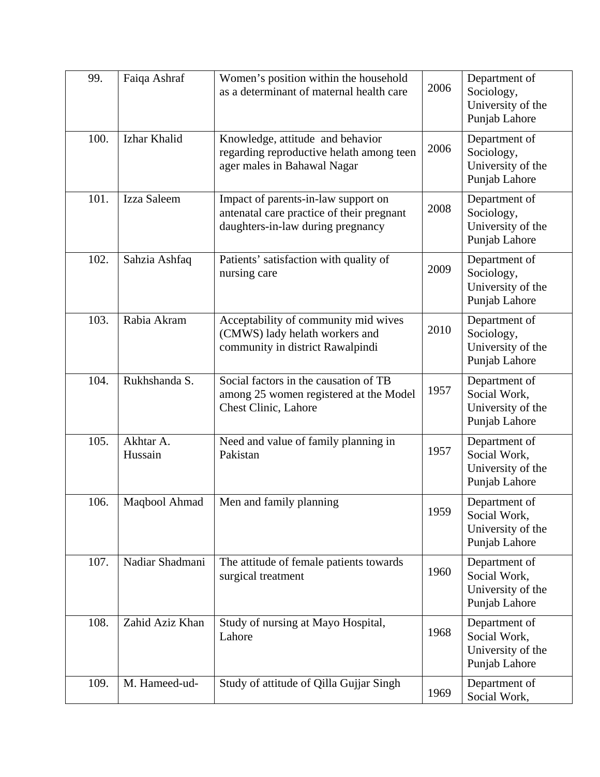| 99.  | Faiqa Ashraf         | Women's position within the household<br>as a determinant of maternal health care                                     | 2006 | Department of<br>Sociology,<br>University of the<br>Punjab Lahore   |
|------|----------------------|-----------------------------------------------------------------------------------------------------------------------|------|---------------------------------------------------------------------|
| 100. | Izhar Khalid         | Knowledge, attitude and behavior<br>regarding reproductive helath among teen<br>ager males in Bahawal Nagar           | 2006 | Department of<br>Sociology,<br>University of the<br>Punjab Lahore   |
| 101. | Izza Saleem          | Impact of parents-in-law support on<br>antenatal care practice of their pregnant<br>daughters-in-law during pregnancy | 2008 | Department of<br>Sociology,<br>University of the<br>Punjab Lahore   |
| 102. | Sahzia Ashfaq        | Patients' satisfaction with quality of<br>nursing care                                                                | 2009 | Department of<br>Sociology,<br>University of the<br>Punjab Lahore   |
| 103. | Rabia Akram          | Acceptability of community mid wives<br>(CMWS) lady helath workers and<br>community in district Rawalpindi            | 2010 | Department of<br>Sociology,<br>University of the<br>Punjab Lahore   |
| 104. | Rukhshanda S.        | Social factors in the causation of TB<br>among 25 women registered at the Model<br><b>Chest Clinic, Lahore</b>        | 1957 | Department of<br>Social Work,<br>University of the<br>Punjab Lahore |
| 105. | Akhtar A.<br>Hussain | Need and value of family planning in<br>Pakistan                                                                      | 1957 | Department of<br>Social Work,<br>University of the<br>Punjab Lahore |
| 106. | Maqbool Ahmad        | Men and family planning                                                                                               | 1959 | Department of<br>Social Work,<br>University of the<br>Punjab Lahore |
| 107. | Nadiar Shadmani      | The attitude of female patients towards<br>surgical treatment                                                         | 1960 | Department of<br>Social Work,<br>University of the<br>Punjab Lahore |
| 108. | Zahid Aziz Khan      | Study of nursing at Mayo Hospital,<br>Lahore                                                                          | 1968 | Department of<br>Social Work,<br>University of the<br>Punjab Lahore |
| 109. | M. Hameed-ud-        | Study of attitude of Qilla Gujjar Singh                                                                               | 1969 | Department of<br>Social Work,                                       |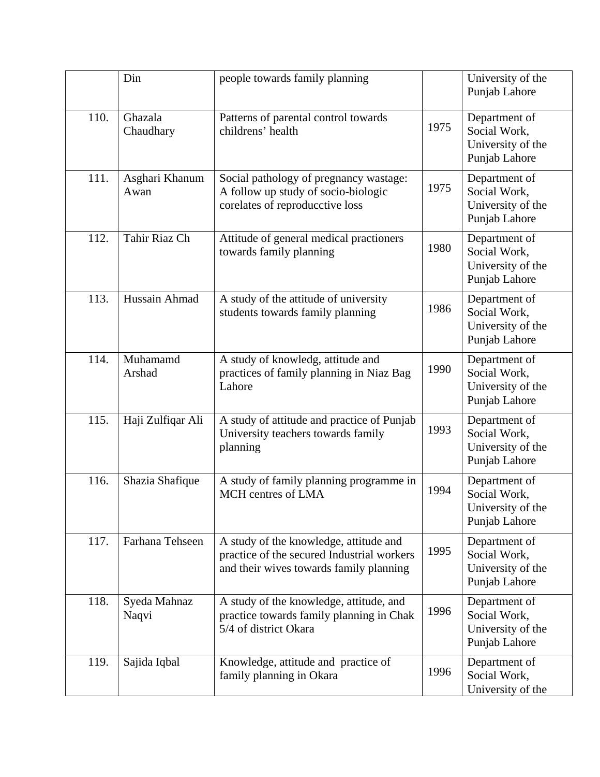|      | Din                    | people towards family planning                                                                                                  |      | University of the<br>Punjab Lahore                                  |
|------|------------------------|---------------------------------------------------------------------------------------------------------------------------------|------|---------------------------------------------------------------------|
| 110. | Ghazala<br>Chaudhary   | Patterns of parental control towards<br>childrens' health                                                                       | 1975 | Department of<br>Social Work,<br>University of the<br>Punjab Lahore |
| 111. | Asghari Khanum<br>Awan | Social pathology of pregnancy wastage:<br>A follow up study of socio-biologic<br>corelates of reproducctive loss                | 1975 | Department of<br>Social Work,<br>University of the<br>Punjab Lahore |
| 112. | Tahir Riaz Ch          | Attitude of general medical practioners<br>towards family planning                                                              | 1980 | Department of<br>Social Work,<br>University of the<br>Punjab Lahore |
| 113. | Hussain Ahmad          | A study of the attitude of university<br>students towards family planning                                                       | 1986 | Department of<br>Social Work,<br>University of the<br>Punjab Lahore |
| 114. | Muhamamd<br>Arshad     | A study of knowledg, attitude and<br>practices of family planning in Niaz Bag<br>Lahore                                         | 1990 | Department of<br>Social Work,<br>University of the<br>Punjab Lahore |
| 115. | Haji Zulfiqar Ali      | A study of attitude and practice of Punjab<br>University teachers towards family<br>planning                                    | 1993 | Department of<br>Social Work,<br>University of the<br>Punjab Lahore |
| 116. | Shazia Shafique        | A study of family planning programme in<br>MCH centres of LMA                                                                   | 1994 | Department of<br>Social Work,<br>University of the<br>Punjab Lahore |
| 117. | Farhana Tehseen        | A study of the knowledge, attitude and<br>practice of the secured Industrial workers<br>and their wives towards family planning | 1995 | Department of<br>Social Work,<br>University of the<br>Punjab Lahore |
| 118. | Syeda Mahnaz<br>Naqvi  | A study of the knowledge, attitude, and<br>practice towards family planning in Chak<br>5/4 of district Okara                    | 1996 | Department of<br>Social Work,<br>University of the<br>Punjab Lahore |
| 119. | Sajida Iqbal           | Knowledge, attitude and practice of<br>family planning in Okara                                                                 | 1996 | Department of<br>Social Work,<br>University of the                  |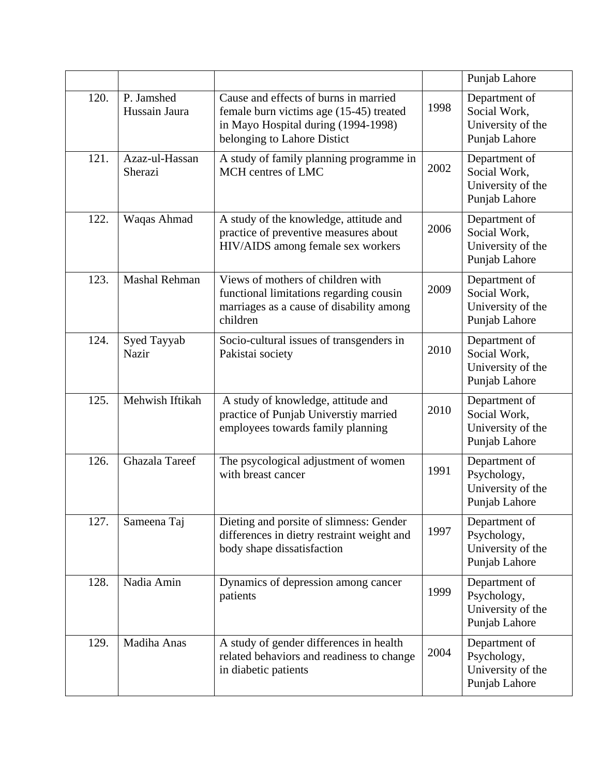|      |                             |                                                                                                                                                        |      | Punjab Lahore                                                       |
|------|-----------------------------|--------------------------------------------------------------------------------------------------------------------------------------------------------|------|---------------------------------------------------------------------|
| 120. | P. Jamshed<br>Hussain Jaura | Cause and effects of burns in married<br>female burn victims age (15-45) treated<br>in Mayo Hospital during (1994-1998)<br>belonging to Lahore Distict | 1998 | Department of<br>Social Work,<br>University of the<br>Punjab Lahore |
| 121. | Azaz-ul-Hassan<br>Sherazi   | A study of family planning programme in<br>MCH centres of LMC                                                                                          | 2002 | Department of<br>Social Work,<br>University of the<br>Punjab Lahore |
| 122. | Waqas Ahmad                 | A study of the knowledge, attitude and<br>practice of preventive measures about<br>HIV/AIDS among female sex workers                                   | 2006 | Department of<br>Social Work,<br>University of the<br>Punjab Lahore |
| 123. | <b>Mashal Rehman</b>        | Views of mothers of children with<br>functional limitations regarding cousin<br>marriages as a cause of disability among<br>children                   | 2009 | Department of<br>Social Work,<br>University of the<br>Punjab Lahore |
| 124. | Syed Tayyab<br><b>Nazir</b> | Socio-cultural issues of transgenders in<br>Pakistai society                                                                                           | 2010 | Department of<br>Social Work,<br>University of the<br>Punjab Lahore |
| 125. | Mehwish Iftikah             | A study of knowledge, attitude and<br>practice of Punjab Universtiy married<br>employees towards family planning                                       | 2010 | Department of<br>Social Work,<br>University of the<br>Punjab Lahore |
| 126. | <b>Ghazala Tareef</b>       | The psycological adjustment of women<br>with breast cancer                                                                                             | 1991 | Department of<br>Psychology,<br>University of the<br>Punjab Lahore  |
| 127. | Sameena Taj                 | Dieting and porsite of slimness: Gender<br>differences in dietry restraint weight and<br>body shape dissatisfaction                                    | 1997 | Department of<br>Psychology,<br>University of the<br>Punjab Lahore  |
| 128. | Nadia Amin                  | Dynamics of depression among cancer<br>patients                                                                                                        | 1999 | Department of<br>Psychology,<br>University of the<br>Punjab Lahore  |
| 129. | Madiha Anas                 | A study of gender differences in health<br>related behaviors and readiness to change<br>in diabetic patients                                           | 2004 | Department of<br>Psychology,<br>University of the<br>Punjab Lahore  |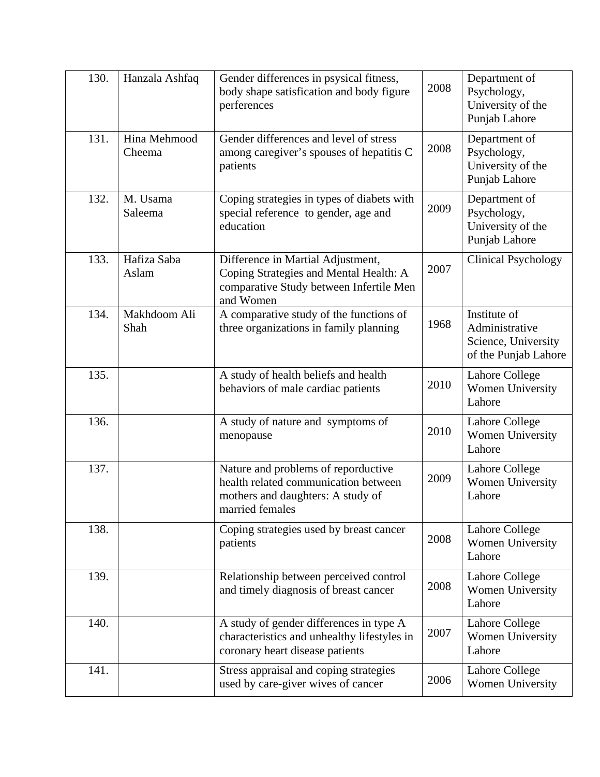| 130. | Hanzala Ashfaq         | Gender differences in psysical fitness,<br>body shape satisfication and body figure<br>perferences                                  | 2008 | Department of<br>Psychology,<br>University of the<br>Punjab Lahore            |
|------|------------------------|-------------------------------------------------------------------------------------------------------------------------------------|------|-------------------------------------------------------------------------------|
| 131. | Hina Mehmood<br>Cheema | Gender differences and level of stress<br>among caregiver's spouses of hepatitis C<br>patients                                      | 2008 | Department of<br>Psychology,<br>University of the<br>Punjab Lahore            |
| 132. | M. Usama<br>Saleema    | Coping strategies in types of diabets with<br>special reference to gender, age and<br>education                                     | 2009 | Department of<br>Psychology,<br>University of the<br>Punjab Lahore            |
| 133. | Hafiza Saba<br>Aslam   | Difference in Martial Adjustment,<br>Coping Strategies and Mental Health: A<br>comparative Study between Infertile Men<br>and Women | 2007 | <b>Clinical Psychology</b>                                                    |
| 134. | Makhdoom Ali<br>Shah   | A comparative study of the functions of<br>three organizations in family planning                                                   | 1968 | Institute of<br>Administrative<br>Science, University<br>of the Punjab Lahore |
| 135. |                        | A study of health beliefs and health<br>behaviors of male cardiac patients                                                          | 2010 | Lahore College<br>Women University<br>Lahore                                  |
| 136. |                        | A study of nature and symptoms of<br>menopause                                                                                      | 2010 | Lahore College<br>Women University<br>Lahore                                  |
| 137. |                        | Nature and problems of reporductive<br>health related communication between<br>mothers and daughters: A study of<br>married females | 2009 | Lahore College<br>Women University<br>Lahore                                  |
| 138. |                        | Coping strategies used by breast cancer<br>patients                                                                                 | 2008 | Lahore College<br>Women University<br>Lahore                                  |
| 139. |                        | Relationship between perceived control<br>and timely diagnosis of breast cancer                                                     | 2008 | <b>Lahore College</b><br>Women University<br>Lahore                           |
| 140. |                        | A study of gender differences in type A<br>characteristics and unhealthy lifestyles in<br>coronary heart disease patients           | 2007 | Lahore College<br>Women University<br>Lahore                                  |
| 141. |                        | Stress appraisal and coping strategies<br>used by care-giver wives of cancer                                                        | 2006 | Lahore College<br>Women University                                            |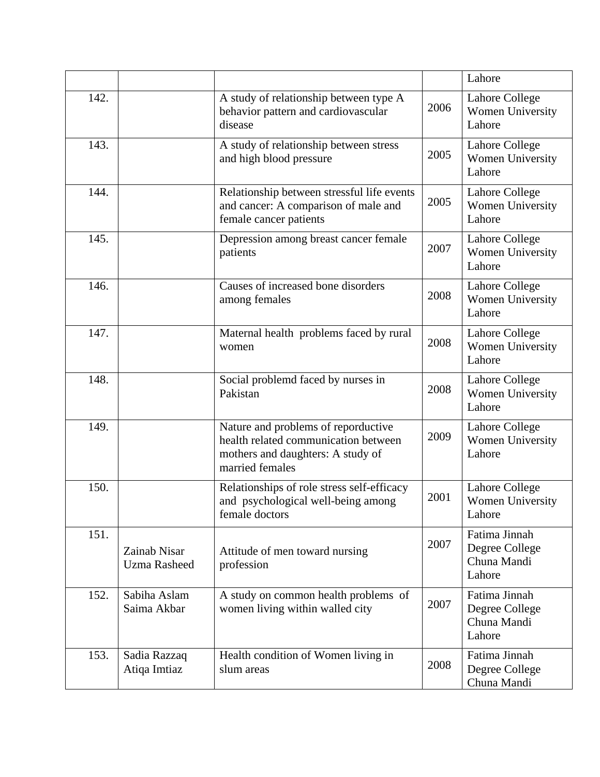|      |                                     |                                                                                                                                     |      | Lahore                                                   |
|------|-------------------------------------|-------------------------------------------------------------------------------------------------------------------------------------|------|----------------------------------------------------------|
| 142. |                                     | A study of relationship between type A<br>behavior pattern and cardiovascular<br>disease                                            | 2006 | Lahore College<br>Women University<br>Lahore             |
| 143. |                                     | A study of relationship between stress<br>and high blood pressure                                                                   | 2005 | Lahore College<br>Women University<br>Lahore             |
| 144. |                                     | Relationship between stressful life events<br>and cancer: A comparison of male and<br>female cancer patients                        | 2005 | Lahore College<br>Women University<br>Lahore             |
| 145. |                                     | Depression among breast cancer female<br>patients                                                                                   | 2007 | Lahore College<br>Women University<br>Lahore             |
| 146. |                                     | Causes of increased bone disorders<br>among females                                                                                 | 2008 | Lahore College<br>Women University<br>Lahore             |
| 147. |                                     | Maternal health problems faced by rural<br>women                                                                                    | 2008 | Lahore College<br>Women University<br>Lahore             |
| 148. |                                     | Social problemd faced by nurses in<br>Pakistan                                                                                      | 2008 | Lahore College<br>Women University<br>Lahore             |
| 149. |                                     | Nature and problems of reporductive<br>health related communication between<br>mothers and daughters: A study of<br>married females | 2009 | Lahore College<br>Women University<br>Lahore             |
| 150. |                                     | Relationships of role stress self-efficacy<br>and psychological well-being among<br>female doctors                                  | 2001 | Lahore College<br><b>Women University</b><br>Lahore      |
| 151. | Zainab Nisar<br><b>Uzma Rasheed</b> | Attitude of men toward nursing<br>profession                                                                                        | 2007 | Fatima Jinnah<br>Degree College<br>Chuna Mandi<br>Lahore |
| 152. | Sabiha Aslam<br>Saima Akbar         | A study on common health problems of<br>women living within walled city                                                             | 2007 | Fatima Jinnah<br>Degree College<br>Chuna Mandi<br>Lahore |
| 153. | Sadia Razzaq<br>Atiqa Imtiaz        | Health condition of Women living in<br>slum areas                                                                                   | 2008 | Fatima Jinnah<br>Degree College<br>Chuna Mandi           |